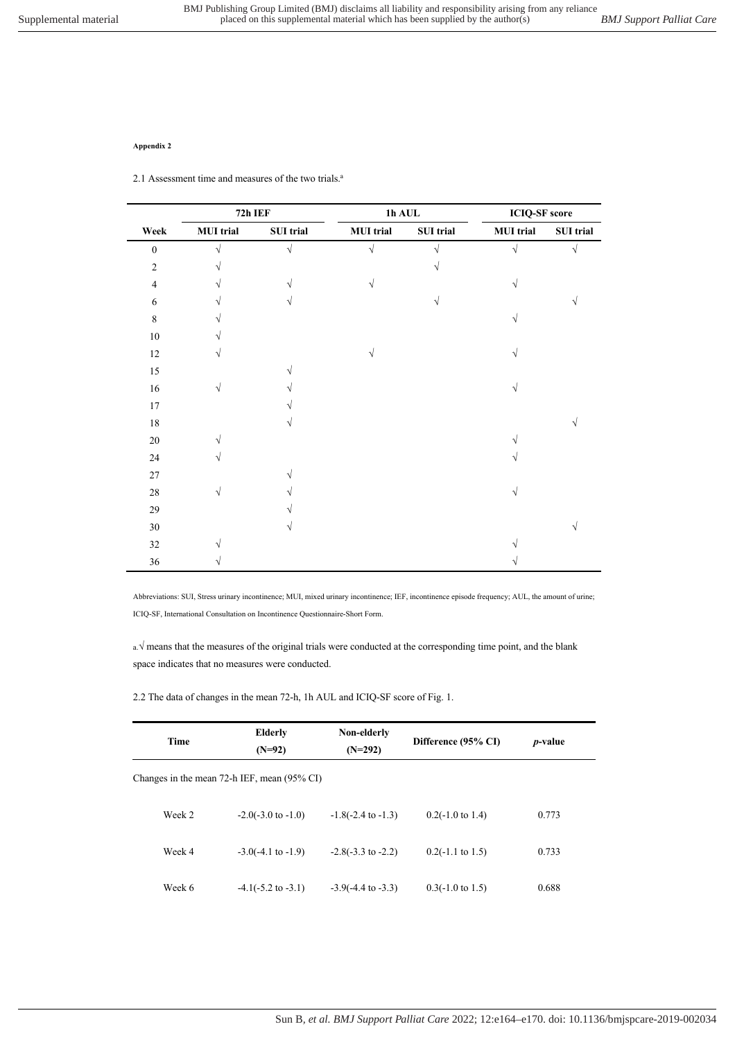## **Appendix 2**

2.1 Assessment time and measures of the two trials.<sup>a</sup>

|                  | 72h IEF          |           | $1h$ AUL         |            | <b>ICIQ-SF</b> score |           |
|------------------|------------------|-----------|------------------|------------|----------------------|-----------|
| Week             | <b>MUI</b> trial | SUI trial | <b>MUI</b> trial | SUI trial  | <b>MUI</b> trial     | SUI trial |
| $\boldsymbol{0}$ | $\sqrt{}$        | $\sqrt{}$ | $\sqrt{ }$       | $\sqrt{ }$ | $\sqrt{}$            | $\sqrt{}$ |
| $\overline{2}$   | V                |           |                  | V          |                      |           |
| $\overline{4}$   | V                | V         | V                |            | V                    |           |
| 6                |                  | V         |                  | $\sqrt{}$  |                      |           |
| $\,8\,$          |                  |           |                  |            |                      |           |
| $10\,$           |                  |           |                  |            |                      |           |
| $12\,$           | V                |           | V                |            | $\sqrt{ }$           |           |
| 15               |                  |           |                  |            |                      |           |
| $16\,$           | $\sqrt{}$        |           |                  |            | V                    |           |
| $17\,$           |                  |           |                  |            |                      |           |
| $18\,$           |                  |           |                  |            |                      |           |
| $20\,$           |                  |           |                  |            |                      |           |
| $24\,$           | V                |           |                  |            |                      |           |
| $27\,$           |                  |           |                  |            |                      |           |
| $28\,$           | $\sqrt{ }$       |           |                  |            | V                    |           |
| $29\,$           |                  |           |                  |            |                      |           |
| $30\,$           |                  |           |                  |            |                      |           |
| $32\,$           |                  |           |                  |            |                      |           |
| $36\,$           |                  |           |                  |            |                      |           |

Abbreviations: SUI, Stress urinary incontinence; MUI, mixed urinary incontinence; IEF, incontinence episode frequency; AUL, the amount of urine; ICIQ-SF, International Consultation on Incontinence Questionnaire-Short Form.

a.√ means that the measures of the original trials were conducted at the corresponding time point, and the blank space indicates that no measures were conducted.

2.2 The data of changes in the mean 72-h, 1h AUL and ICIQ-SF score of Fig. 1.

| Time                                        | <b>Elderly</b><br>$(N=92)$    | Non-elderly<br>$(N=292)$      | Difference (95% CI)         | <i>p</i> -value |  |
|---------------------------------------------|-------------------------------|-------------------------------|-----------------------------|-----------------|--|
| Changes in the mean 72-h IEF, mean (95% CI) |                               |                               |                             |                 |  |
| Week 2                                      | $-2.0(-3.0 \text{ to } -1.0)$ | $-1.8(-2.4 \text{ to } -1.3)$ | $0.2(-1.0 \text{ to } 1.4)$ | 0.773           |  |
| Week 4                                      | $-3.0(-4.1 \text{ to } -1.9)$ | $-2.8(-3.3 \text{ to } -2.2)$ | $0.2(-1.1 \text{ to } 1.5)$ | 0.733           |  |
| Week 6                                      | $-4.1(-5.2 \text{ to } -3.1)$ | $-3.9(-4.4 \text{ to } -3.3)$ | $0.3(-1.0 \text{ to } 1.5)$ | 0.688           |  |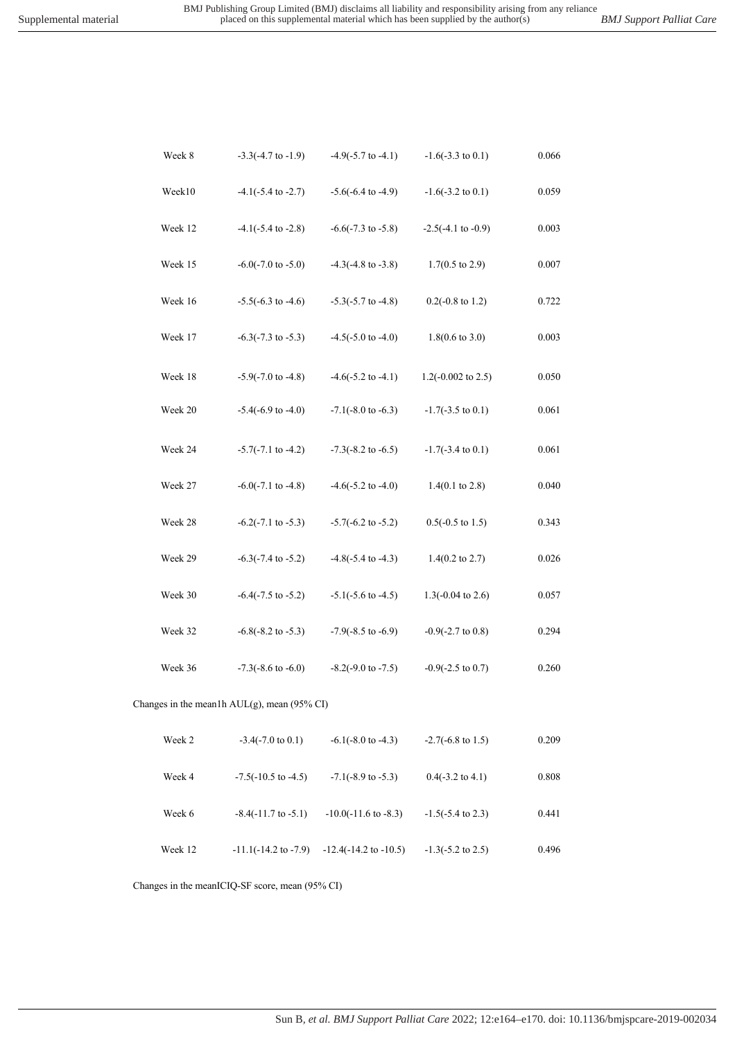| Week 8  | $-3.3(-4.7 \text{ to } -1.9)$               | $-4.9(-5.7 \text{ to } -4.1)$    | $-1.6(-3.3 \text{ to } 0.1)$  | 0.066     |
|---------|---------------------------------------------|----------------------------------|-------------------------------|-----------|
| Week10  | $-4.1(-5.4 \text{ to } -2.7)$               | $-5.6(-6.4 \text{ to } -4.9)$    | $-1.6(-3.2 \text{ to } 0.1)$  | 0.059     |
| Week 12 | $-4.1(-5.4 \text{ to } -2.8)$               | $-6.6(-7.3 \text{ to } -5.8)$    | $-2.5(-4.1 \text{ to } -0.9)$ | 0.003     |
| Week 15 | $-6.0(-7.0 \text{ to } -5.0)$               | $-4.3(-4.8 \text{ to } -3.8)$    | $1.7(0.5 \text{ to } 2.9)$    | 0.007     |
| Week 16 | $-5.5(-6.3 \text{ to } -4.6)$               | $-5.3(-5.7 \text{ to } -4.8)$    | $0.2(-0.8 \text{ to } 1.2)$   | 0.722     |
| Week 17 | $-6.3(-7.3 \text{ to } -5.3)$               | $-4.5(-5.0 \text{ to } -4.0)$    | $1.8(0.6 \text{ to } 3.0)$    | 0.003     |
| Week 18 | $-5.9(-7.0 \text{ to } -4.8)$               | $-4.6(-5.2 \text{ to } -4.1)$    | 1.2( $-0.002$ to 2.5)         | 0.050     |
| Week 20 | $-5.4(-6.9 \text{ to } -4.0)$               | $-7.1(-8.0 \text{ to } -6.3)$    | $-1.7(-3.5 \text{ to } 0.1)$  | $0.061\,$ |
| Week 24 | $-5.7(-7.1$ to $-4.2)$                      | $-7.3(-8.2 \text{ to } -6.5)$    | $-1.7(-3.4 \text{ to } 0.1)$  | 0.061     |
| Week 27 | $-6.0(-7.1 \text{ to } -4.8)$               | $-4.6(-5.2 \text{ to } -4.0)$    | $1.4(0.1 \text{ to } 2.8)$    | 0.040     |
| Week 28 | $-6.2(-7.1 \text{ to } -5.3)$               | $-5.7(-6.2 \text{ to } -5.2)$    | $0.5(-0.5 \text{ to } 1.5)$   | 0.343     |
| Week 29 | $-6.3(-7.4 \text{ to } -5.2)$               | $-4.8(-5.4 \text{ to } -4.3)$    | $1.4(0.2 \text{ to } 2.7)$    | 0.026     |
| Week 30 | $-6.4(-7.5 \text{ to } -5.2)$               | $-5.1(-5.6 \text{ to } -4.5)$    | $1.3(-0.04 \text{ to } 2.6)$  | 0.057     |
| Week 32 | $-6.8(-8.2 \text{ to } -5.3)$               | $-7.9(-8.5 \text{ to } -6.9)$    | $-0.9(-2.7 \text{ to } 0.8)$  | 0.294     |
| Week 36 | $-7.3(-8.6 \text{ to } -6.0)$               | $-8.2(-9.0 \text{ to } -7.5)$    | $-0.9(-2.5 \text{ to } 0.7)$  | 0.260     |
|         | Changes in the mean1h AUL(g), mean (95% CI) |                                  |                               |           |
| Week 2  | $-3.4(-7.0 \text{ to } 0.1)$                | $-6.1(-8.0 \text{ to } -4.3)$    | $-2.7(-6.8 \text{ to } 1.5)$  | 0.209     |
| Week 4  | $-7.5(-10.5$ to $-4.5)$                     | $-7.1(-8.9 \text{ to } -5.3)$    | $0.4(-3.2 \text{ to } 4.1)$   | 0.808     |
| Week 6  | $-8.4(-11.7 \text{ to } -5.1)$              | $-10.0(-11.6 \text{ to } -8.3)$  | $-1.5(-5.4 \text{ to } 2.3)$  | 0.441     |
| Week 12 | $-11.1(-14.2$ to $-7.9)$                    | $-12.4(-14.2 \text{ to } -10.5)$ | $-1.3(-5.2 \text{ to } 2.5)$  | 0.496     |

Changes in the meanICIQ-SF score, mean (95% CI)